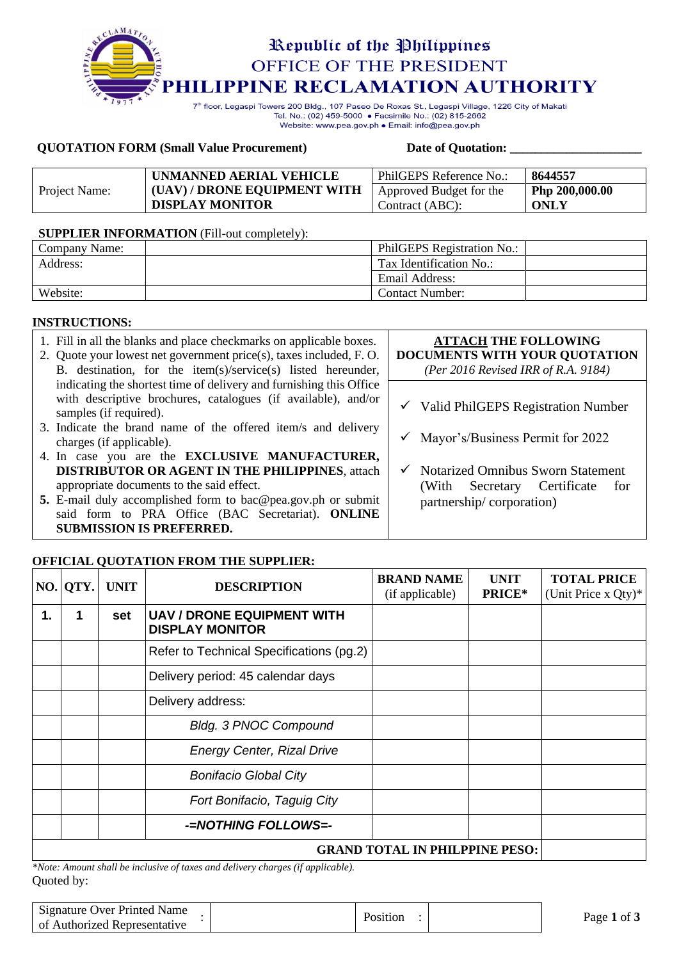

Tel. No.: (02) 459-5000 · Facsimile No.: (02) 815-2662 Website: www.pea.gov.ph . Email: info@pea.gov.ph

#### **QUOTATION FORM (Small Value Procurement) Date of Quotation: \_\_\_\_\_\_\_\_\_\_\_\_\_\_\_\_\_\_\_\_\_**

|               | UNMANNED AERIAL VEHICLE      | PhilGEPS Reference No.: | 8644557        |
|---------------|------------------------------|-------------------------|----------------|
| Project Name: | (UAV) / DRONE EQUIPMENT WITH | Approved Budget for the | Php 200,000.00 |
|               | <b>DISPLAY MONITOR</b>       | Contract (ABC):         | ONLY           |

#### **SUPPLIER INFORMATION** (Fill-out completely):

| Company Name: | PhilGEPS Registration No.: |
|---------------|----------------------------|
| Address:      | Tax Identification No.:    |
|               | Email Address:             |
| Website:      | Contact Number:            |

#### **INSTRUCTIONS:**

| 1. Fill in all the blanks and place checkmarks on applicable boxes.<br>2. Quote your lowest net government price(s), taxes included, F.O.<br>B. destination, for the item(s)/service(s) listed hereunder, | <b>ATTACH THE FOLLOWING</b><br>DOCUMENTS WITH YOUR QUOTATION<br>(Per 2016 Revised IRR of R.A. 9184) |
|-----------------------------------------------------------------------------------------------------------------------------------------------------------------------------------------------------------|-----------------------------------------------------------------------------------------------------|
| indicating the shortest time of delivery and furnishing this Office<br>with descriptive brochures, catalogues (if available), and/or                                                                      |                                                                                                     |
| samples (if required).                                                                                                                                                                                    | $\checkmark$ Valid PhilGEPS Registration Number                                                     |
| 3. Indicate the brand name of the offered item/s and delivery<br>charges (if applicable).                                                                                                                 | $\checkmark$ Mayor's/Business Permit for 2022                                                       |
| 4. In case you are the <b>EXCLUSIVE MANUFACTURER</b> ,                                                                                                                                                    |                                                                                                     |
| <b>DISTRIBUTOR OR AGENT IN THE PHILIPPINES, attach</b>                                                                                                                                                    | $\checkmark$ Notarized Omnibus Sworn Statement                                                      |
| appropriate documents to the said effect.                                                                                                                                                                 | Certificate<br>(With Secretary<br>for                                                               |
| 5. E-mail duly accomplished form to bac@pea.gov.ph or submit                                                                                                                                              | partnership/corporation)                                                                            |
| said form to PRA Office (BAC Secretariat). ONLINE                                                                                                                                                         |                                                                                                     |
| <b>SUBMISSION IS PREFERRED.</b>                                                                                                                                                                           |                                                                                                     |

## **OFFICIAL QUOTATION FROM THE SUPPLIER:**

|                                       | NO. QTY.                                                                | <b>UNIT</b> | <b>DESCRIPTION</b>                       | <b>BRAND NAME</b><br>(if applicable) | <b>UNIT</b><br><b>PRICE*</b> | <b>TOTAL PRICE</b><br>(Unit Price x $Q(y)^*$ |  |
|---------------------------------------|-------------------------------------------------------------------------|-------------|------------------------------------------|--------------------------------------|------------------------------|----------------------------------------------|--|
| 1.                                    | <b>UAV / DRONE EQUIPMENT WITH</b><br>1<br>set<br><b>DISPLAY MONITOR</b> |             |                                          |                                      |                              |                                              |  |
|                                       |                                                                         |             | Refer to Technical Specifications (pg.2) |                                      |                              |                                              |  |
|                                       |                                                                         |             | Delivery period: 45 calendar days        |                                      |                              |                                              |  |
|                                       | Delivery address:                                                       |             |                                          |                                      |                              |                                              |  |
|                                       | <b>Bldg. 3 PNOC Compound</b>                                            |             |                                          |                                      |                              |                                              |  |
|                                       |                                                                         |             | <b>Energy Center, Rizal Drive</b>        |                                      |                              |                                              |  |
|                                       |                                                                         |             | <b>Bonifacio Global City</b>             |                                      |                              |                                              |  |
|                                       |                                                                         |             | Fort Bonifacio, Taguig City              |                                      |                              |                                              |  |
|                                       |                                                                         |             | -NOTHING FOLLOWS=-                       |                                      |                              |                                              |  |
| <b>GRAND TOTAL IN PHILPPINE PESO:</b> |                                                                         |             |                                          |                                      |                              |                                              |  |

Quoted by: *\*Note: Amount shall be inclusive of taxes and delivery charges (if applicable).*

| Signature Over Printed Name<br>l of Authorized Representative | Position | Page 1 of c |
|---------------------------------------------------------------|----------|-------------|
|                                                               |          |             |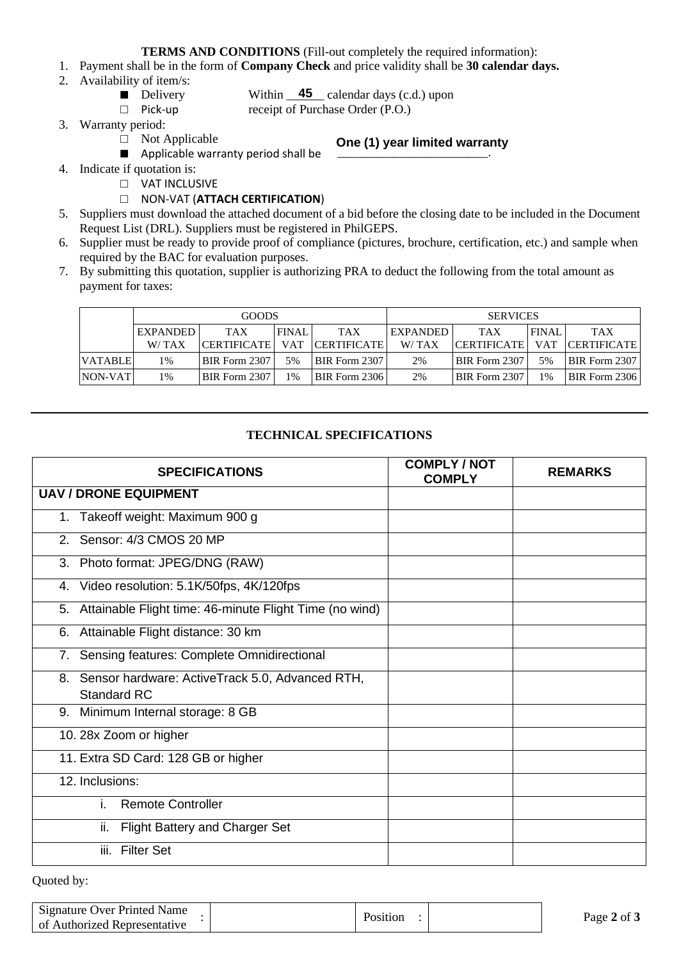**TERMS AND CONDITIONS** (Fill-out completely the required information):

- 1. Payment shall be in the form of **Company Check** and price validity shall be **30 calendar days.**
- 2. Availability of item/s:
	- Delivery
- Within  $\frac{45}{45}$  calendar days (c.d.) upon receipt of Purchase Order (P.O.)
- □ Pick-up 3. Warranty period:
	- □ Not Applicable
- **One (1) year limited warranty**
- Applicable warranty period shall be
- 4. Indicate if quotation is:
	- □ VAT INCLUSIVE
		- □ NON-VAT (**ATTACH CERTIFICATION**)
- 5. Suppliers must download the attached document of a bid before the closing date to be included in the Document Request List (DRL). Suppliers must be registered in PhilGEPS.
- 6. Supplier must be ready to provide proof of compliance (pictures, brochure, certification, etc.) and sample when required by the BAC for evaluation purposes.
- 7. By submitting this quotation, supplier is authorizing PRA to deduct the following from the total amount as payment for taxes:

|                | <b>GOODS</b>    |                    |              | <b>SERVICES</b>      |                 |                      |              |                      |
|----------------|-----------------|--------------------|--------------|----------------------|-----------------|----------------------|--------------|----------------------|
|                | <b>EXPANDED</b> | <b>TAX</b>         | <b>FINAL</b> | <b>TAX</b>           | <b>EXPANDED</b> | <b>TAX</b>           | <b>FINAL</b> | <b>TAX</b>           |
|                | W/TAX           | <b>CERTIFICATE</b> | <b>VAT</b>   | <b>CERTIFICATE</b>   | W/TAX           | <b>CERTIFICATE</b>   | <b>VAT</b>   | <b>CERTIFICATE</b>   |
| <b>VATABLE</b> | 1%              | BIR Form 2307      | 5%           | <b>BIR Form 2307</b> | 2%              | BIR Form 2307        | 5%           | <b>BIR Form 2307</b> |
| NON-VAT        | 1%              | BIR Form 2307      | $1\%$        | BIR Form 2306        | 2%              | <b>BIR Form 2307</b> | 1%           | BIR Form 2306        |

### **TECHNICAL SPECIFICATIONS**

| <b>SPECIFICATIONS</b>                                                    | <b>COMPLY / NOT</b><br><b>COMPLY</b> | <b>REMARKS</b> |
|--------------------------------------------------------------------------|--------------------------------------|----------------|
| <b>UAV / DRONE EQUIPMENT</b>                                             |                                      |                |
| 1. Takeoff weight: Maximum 900 g                                         |                                      |                |
| 2. Sensor: 4/3 CMOS 20 MP                                                |                                      |                |
| Photo format: JPEG/DNG (RAW)<br>3.                                       |                                      |                |
| 4. Video resolution: 5.1K/50fps, 4K/120fps                               |                                      |                |
| 5. Attainable Flight time: 46-minute Flight Time (no wind)               |                                      |                |
| 6. Attainable Flight distance: 30 km                                     |                                      |                |
| 7. Sensing features: Complete Omnidirectional                            |                                      |                |
| 8. Sensor hardware: ActiveTrack 5.0, Advanced RTH,<br><b>Standard RC</b> |                                      |                |
| Minimum Internal storage: 8 GB<br>9.                                     |                                      |                |
| 10. 28x Zoom or higher                                                   |                                      |                |
| 11. Extra SD Card: 128 GB or higher                                      |                                      |                |
| 12. Inclusions:                                                          |                                      |                |
| <b>Remote Controller</b><br>İ.                                           |                                      |                |
| ii.<br><b>Flight Battery and Charger Set</b>                             |                                      |                |
| <b>Filter Set</b><br>iii.                                                |                                      |                |

Quoted by:

| Signature Over Printed Name  | Position | Page 2 of 3 |
|------------------------------|----------|-------------|
| of Authorized Representative |          |             |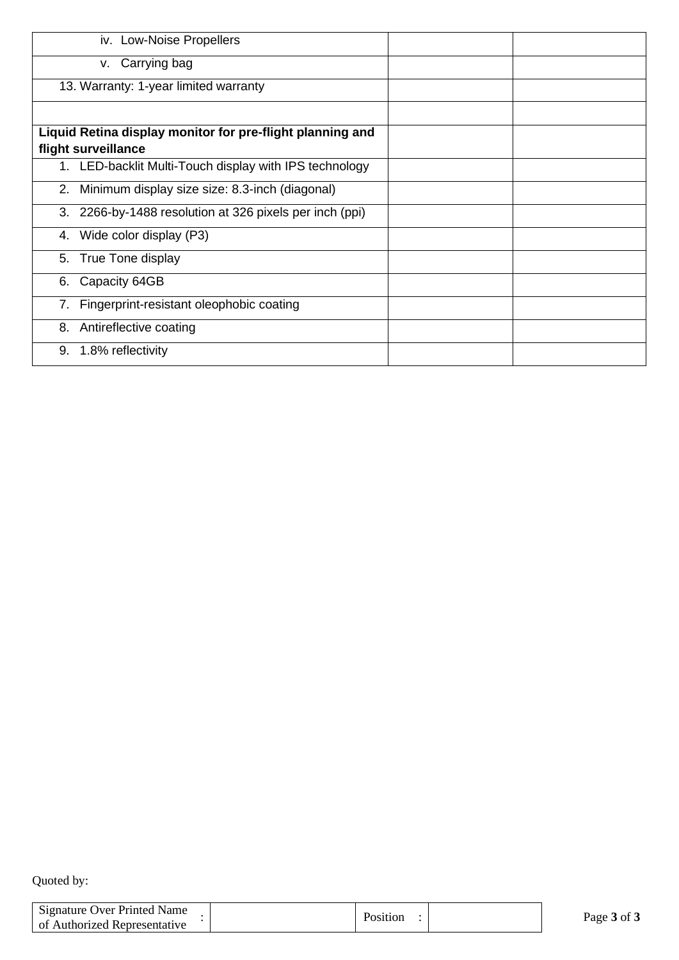| iv. Low-Noise Propellers                                  |  |
|-----------------------------------------------------------|--|
| v. Carrying bag                                           |  |
| 13. Warranty: 1-year limited warranty                     |  |
|                                                           |  |
| Liquid Retina display monitor for pre-flight planning and |  |
| flight surveillance                                       |  |
| 1. LED-backlit Multi-Touch display with IPS technology    |  |
| 2. Minimum display size size: 8.3-inch (diagonal)         |  |
| 3. 2266-by-1488 resolution at 326 pixels per inch (ppi)   |  |
| 4. Wide color display (P3)                                |  |
| 5. True Tone display                                      |  |
| Capacity 64GB<br>6.                                       |  |
| Fingerprint-resistant oleophobic coating<br>7.            |  |
| Antireflective coating<br>8.                              |  |
| 1.8% reflectivity<br>9.                                   |  |

Quoted by:

| Signature Over Printed Name<br>of Authorized Representative | Position | Page 3 of 3 |
|-------------------------------------------------------------|----------|-------------|
|                                                             |          |             |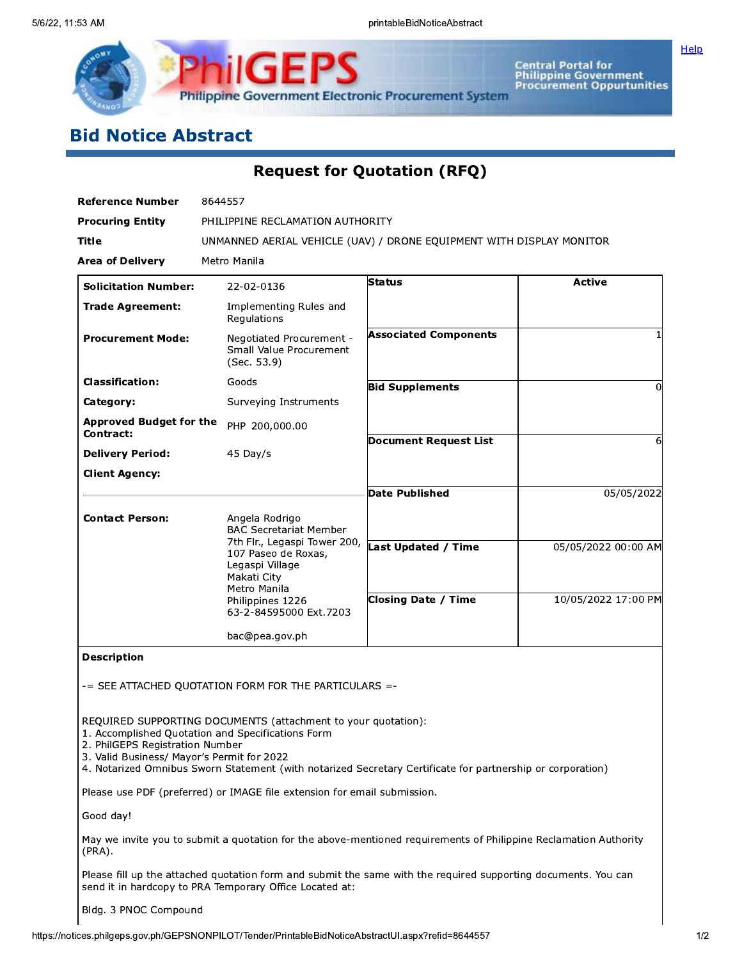

Central Portal for<br>Philippine Government<br>Procurement Oppurtunities

Help

# **Bid Notice Abstract**

# **Request for Quotation (RFQ)**

| <b>Reference Number</b>                     | 8644557                                                                                               |                              |                     |  |  |
|---------------------------------------------|-------------------------------------------------------------------------------------------------------|------------------------------|---------------------|--|--|
| <b>Procuring Entity</b>                     | PHILIPPINE RECLAMATION AUTHORITY                                                                      |                              |                     |  |  |
| Title                                       | UNMANNED AERIAL VEHICLE (UAV) / DRONE EQUIPMENT WITH DISPLAY MONITOR                                  |                              |                     |  |  |
| <b>Area of Delivery</b>                     | Metro Manila                                                                                          |                              |                     |  |  |
| <b>Solicitation Number:</b>                 | 22-02-0136                                                                                            | <b>Status</b>                | <b>Active</b>       |  |  |
| <b>Trade Agreement:</b>                     | Implementing Rules and<br>Regulations                                                                 |                              |                     |  |  |
| <b>Procurement Mode:</b>                    | Negotiated Procurement -<br>Small Value Procurement<br>(Sec. 53.9)                                    | <b>Associated Components</b> |                     |  |  |
| <b>Classification:</b>                      | Goods                                                                                                 | <b>Bid Supplements</b>       | 0                   |  |  |
| Category:                                   | Surveying Instruments                                                                                 |                              |                     |  |  |
| <b>Approved Budget for the</b><br>Contract: | PHP 200,000.00                                                                                        |                              |                     |  |  |
| <b>Delivery Period:</b>                     | 45 Day/s                                                                                              | Document Request List        | 6                   |  |  |
| <b>Client Agency:</b>                       |                                                                                                       |                              |                     |  |  |
|                                             |                                                                                                       | <b>Date Published</b>        | 05/05/2022          |  |  |
| <b>Contact Person:</b>                      | Angela Rodrigo<br><b>BAC Secretariat Member</b>                                                       |                              |                     |  |  |
|                                             | 7th Flr., Legaspi Tower 200,<br>107 Paseo de Roxas,<br>Legaspi Village<br>Makati City<br>Metro Manila | Last Updated / Time          | 05/05/2022 00:00 AM |  |  |
|                                             | Philippines 1226<br>63-2-84595000 Ext.7203                                                            | <b>Closing Date / Time</b>   | 10/05/2022 17:00 PM |  |  |
|                                             | bac@pea.gov.ph                                                                                        |                              |                     |  |  |
| <b>Description</b>                          |                                                                                                       |                              |                     |  |  |

-= SEE ATTACHED QUOTATION FORM FOR THE PARTICULARS =-

REQUIRED SUPPORTING DOCUMENTS (attachment to your quotation):

1. Accomplished Quotation and Specifications Form

2. PhilGEPS Registration Number

3. Valid Business/ Mayor's Permit for 2022

4. Notarized Omnibus Sworn Statement (with notarized Secretary Certificate for partnership or corporation)

Please use PDF (preferred) or IMAGE file extension for email submission.

Good day!

May we invite you to submit a quotation for the above-mentioned requirements of Philippine Reclamation Authority (PRA).

Please fill up the attached quotation form and submit the same with the required supporting documents. You can send it in hardcopy to PRA Temporary Office Located at:

Bldg. 3 PNOC Compound